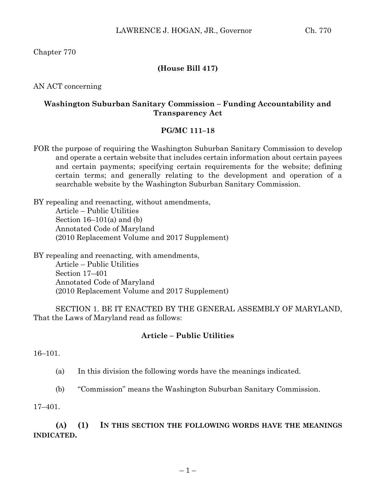Chapter 770

# **(House Bill 417)**

AN ACT concerning

### **Washington Suburban Sanitary Commission – Funding Accountability and Transparency Act**

#### **PG/MC 111–18**

FOR the purpose of requiring the Washington Suburban Sanitary Commission to develop and operate a certain website that includes certain information about certain payees and certain payments; specifying certain requirements for the website; defining certain terms; and generally relating to the development and operation of a searchable website by the Washington Suburban Sanitary Commission.

BY repealing and reenacting, without amendments, Article – Public Utilities Section  $16-101(a)$  and (b) Annotated Code of Maryland (2010 Replacement Volume and 2017 Supplement)

BY repealing and reenacting, with amendments, Article – Public Utilities Section 17–401 Annotated Code of Maryland (2010 Replacement Volume and 2017 Supplement)

SECTION 1. BE IT ENACTED BY THE GENERAL ASSEMBLY OF MARYLAND, That the Laws of Maryland read as follows:

### **Article – Public Utilities**

16–101.

(a) In this division the following words have the meanings indicated.

(b) "Commission" means the Washington Suburban Sanitary Commission.

17–401.

**(A) (1) IN THIS SECTION THE FOLLOWING WORDS HAVE THE MEANINGS INDICATED.**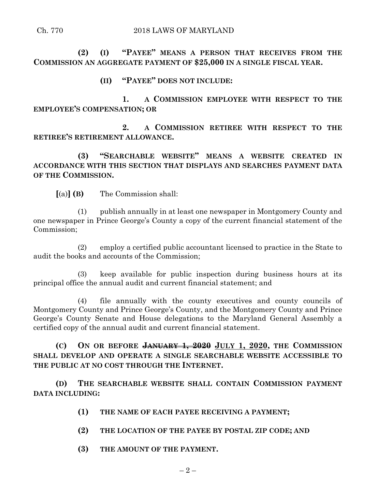**(2) (I) "PAYEE" MEANS A PERSON THAT RECEIVES FROM THE COMMISSION AN AGGREGATE PAYMENT OF \$25,000 IN A SINGLE FISCAL YEAR.**

# **(II) "PAYEE" DOES NOT INCLUDE:**

**1. A COMMISSION EMPLOYEE WITH RESPECT TO THE EMPLOYEE'S COMPENSATION; OR**

**2. A COMMISSION RETIREE WITH RESPECT TO THE RETIREE'S RETIREMENT ALLOWANCE.**

**(3) "SEARCHABLE WEBSITE" MEANS A WEBSITE CREATED IN ACCORDANCE WITH THIS SECTION THAT DISPLAYS AND SEARCHES PAYMENT DATA OF THE COMMISSION.**

**[**(a)**] (B)** The Commission shall:

(1) publish annually in at least one newspaper in Montgomery County and one newspaper in Prince George's County a copy of the current financial statement of the Commission;

(2) employ a certified public accountant licensed to practice in the State to audit the books and accounts of the Commission;

(3) keep available for public inspection during business hours at its principal office the annual audit and current financial statement; and

(4) file annually with the county executives and county councils of Montgomery County and Prince George's County, and the Montgomery County and Prince George's County Senate and House delegations to the Maryland General Assembly a certified copy of the annual audit and current financial statement.

**(C) ON OR BEFORE JANUARY 1, 2020 JULY 1, 2020, THE COMMISSION SHALL DEVELOP AND OPERATE A SINGLE SEARCHABLE WEBSITE ACCESSIBLE TO THE PUBLIC AT NO COST THROUGH THE INTERNET.**

**(D) THE SEARCHABLE WEBSITE SHALL CONTAIN COMMISSION PAYMENT DATA INCLUDING:**

- **(1) THE NAME OF EACH PAYEE RECEIVING A PAYMENT;**
- **(2) THE LOCATION OF THE PAYEE BY POSTAL ZIP CODE; AND**
- **(3) THE AMOUNT OF THE PAYMENT.**